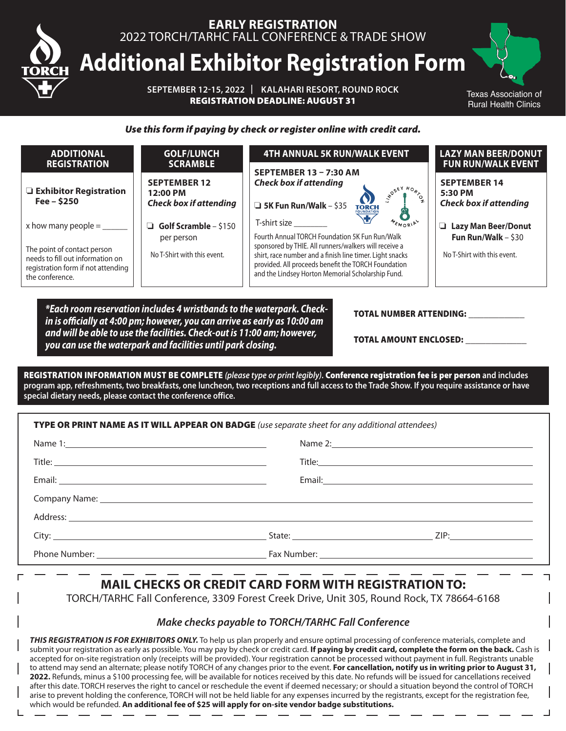

*Use this form if paying by check or register online with credit card.*

| <b>ADDITIONAL</b><br><b>REGISTRATION</b>                                                                                                   | <b>GOLF/LUNCH</b><br><b>SCRAMBLE</b>                                      | <b>4TH ANNUAL 5K RUN/WALK EVENT</b>                                                                                                                                                                                                                                                                         | <b>LAZY MAN BEER/DONUT</b><br><b>FUN RUN/WALK EVENT</b>                                  |
|--------------------------------------------------------------------------------------------------------------------------------------------|---------------------------------------------------------------------------|-------------------------------------------------------------------------------------------------------------------------------------------------------------------------------------------------------------------------------------------------------------------------------------------------------------|------------------------------------------------------------------------------------------|
| Exhibitor Registration<br>Fee $-$ \$250                                                                                                    | <b>SEPTEMBER 12</b><br>12:00 PM<br><b>Check box if attending</b>          | SEPTEMBER 13 - 7:30 AM<br><b>Check box if attending</b><br>$\begin{array}{c}\n^{H_0} & \rightarrow \\ \downarrow^0 & \downarrow \\ \downarrow^0 & \downarrow\n\end{array}$<br><b>TORCH</b><br>$\Box$ 5K Fun Run/Walk - \$35                                                                                 | <b>SEPTEMBER 14</b><br>5:30 PM<br><b>Check box if attending</b>                          |
| x how many people = $\frac{1}{2}$<br>The point of contact person<br>needs to fill out information on<br>registration form if not attending | Golf Scramble $-$ \$150<br>▫<br>per person<br>No T-Shirt with this event. | MEMORIAL<br>T-shirt size<br>Fourth Annual TORCH Foundation 5K Fun Run/Walk<br>sponsored by THIE. All runners/walkers will receive a<br>shirt, race number and a finish line timer. Light snacks<br>provided. All proceeds benefit the TORCH Foundation<br>and the Lindsey Horton Memorial Scholarship Fund. | <b>Lazy Man Beer/Donut</b><br>u.<br>Fun Run/Walk $-$ \$30<br>No T-Shirt with this event. |
| the conference.                                                                                                                            |                                                                           |                                                                                                                                                                                                                                                                                                             |                                                                                          |

*\*Each room reservation includes 4 wristbands to the waterpark. Checkin is officially at 4:00 pm; however, you can arrive as early as 10:00 am and will be able to use the facilities. Check-out is 11:00 am; however, you can use the waterpark and facilities until park closing.*

#### TOTAL NUMBER ATTENDING:

TOTAL AMOUNT ENCLOSED:

REGISTRATION INFORMATION MUST BE COMPLETE *(please type or print legibly)***.** Conference registration fee is per person **and includes program app, refreshments, two breakfasts, one luncheon, two receptions and full access to the Trade Show. If you require assistance or have special dietary needs, please contact the conference office.**

| TYPE OR PRINT NAME AS IT WILL APPEAR ON BADGE (use separate sheet for any additional attendees) |                                                                                                                                                                                                                                |
|-------------------------------------------------------------------------------------------------|--------------------------------------------------------------------------------------------------------------------------------------------------------------------------------------------------------------------------------|
|                                                                                                 | Name 2: Name 2: Name 2: Name 2: Name 2: Name 2: Name 2: Name 2: Name 2: Name 2: Name 2: Name 2: Name 2: Name 2: Name 2: Name 2: Name 2: Name 2: Name 2: Name 2: Name 2: Name 2: Name 2: Name 2: Name 2: Name 2: Name 2: Name 2 |
|                                                                                                 |                                                                                                                                                                                                                                |
|                                                                                                 |                                                                                                                                                                                                                                |
|                                                                                                 |                                                                                                                                                                                                                                |
|                                                                                                 |                                                                                                                                                                                                                                |
|                                                                                                 |                                                                                                                                                                                                                                |
|                                                                                                 |                                                                                                                                                                                                                                |

## **MAIL CHECKS OR CREDIT CARD FORM WITH REGISTRATION TO:**

TORCH/TARHC Fall Conference, 3309 Forest Creek Drive, Unit 305, Round Rock, TX 78664-6168

#### *Make checks payable to TORCH/TARHC Fall Conference*

*THIS REGISTRATION IS FOR EXHIBITORS ONLY.* To help us plan properly and ensure optimal processing of conference materials, complete and submit your registration as early as possible. You may pay by check or credit card. If paying by credit card, complete the form on the back. Cash is accepted for on-site registration only (receipts will be provided). Your registration cannot be processed without payment in full. Registrants unable to attend may send an alternate; please notify TORCH of any changes prior to the event. **For cancellation, notify us in writing prior to August 31, 2022.** Refunds, minus a \$100 processing fee, will be available for notices received by this date. No refunds will be issued for cancellations received after this date. TORCH reserves the right to cancel or reschedule the event if deemed necessary; or should a situation beyond the control of TORCH arise to prevent holding the conference, TORCH will not be held liable for any expenses incurred by the registrants, except for the registration fee, which would be refunded. **An additional fee of \$25 will apply for on-site vendor badge substitutions.**